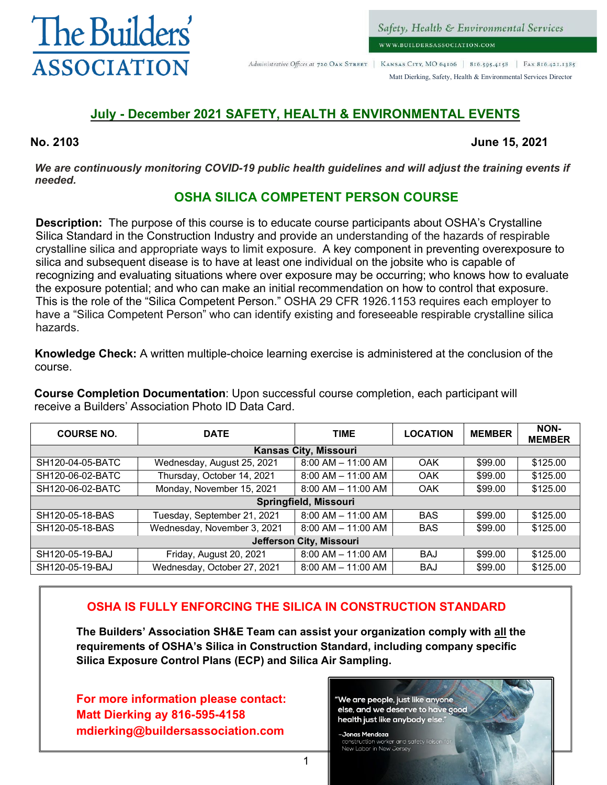

Administrative Offices at 720 OAK STREET | KANSAS CITY, MO 64106 | 816.595.4158 | FAX 816.421.1385

Matt Dierking, Safety, Health & Environmental Services Director

#### **July - December 2021 SAFETY, HEALTH & ENVIRONMENTAL EVENTS**

**No. 2103 June 15, 2021**

*We are continuously monitoring COVID-19 public health guidelines and will adjust the training events if needed.*

#### **OSHA SILICA COMPETENT PERSON COURSE**

**Description:** The purpose of this course is to educate course participants about OSHA's Crystalline Silica Standard in the Construction Industry and provide an understanding of the hazards of respirable crystalline silica and appropriate ways to limit exposure. A key component in preventing overexposure to silica and subsequent disease is to have at least one individual on the jobsite who is capable of recognizing and evaluating situations where over exposure may be occurring; who knows how to evaluate the exposure potential; and who can make an initial recommendation on how to control that exposure. This is the role of the "Silica Competent Person." OSHA 29 CFR 1926.1153 requires each employer to have a "Silica Competent Person" who can identify existing and foreseeable respirable crystalline silica hazards.

**Knowledge Check:** A written multiple-choice learning exercise is administered at the conclusion of the course.

**Course Completion Documentation**: Upon successful course completion, each participant will receive a Builders' Association Photo ID Data Card.

| <b>COURSE NO.</b> | <b>DATE</b>                 | <b>TIME</b>                  | <b>LOCATION</b> | <b>MEMBER</b> | NON-<br><b>MEMBER</b> |  |  |
|-------------------|-----------------------------|------------------------------|-----------------|---------------|-----------------------|--|--|
|                   |                             | <b>Kansas City, Missouri</b> |                 |               |                       |  |  |
| SH120-04-05-BATC  | Wednesday, August 25, 2021  | $8:00$ AM $-$ 11:00 AM       | OAK             | \$99.00       | \$125.00              |  |  |
| SH120-06-02-BATC  | Thursday, October 14, 2021  | $8:00$ AM $-$ 11:00 AM       | OAK             | \$99.00       | \$125.00              |  |  |
| SH120-06-02-BATC  | Monday, November 15, 2021   | $8:00$ AM $-$ 11:00 AM       | OAK             | \$99.00       | \$125.00              |  |  |
|                   |                             | <b>Springfield, Missouri</b> |                 |               |                       |  |  |
| SH120-05-18-BAS   | Tuesday, September 21, 2021 | $8:00$ AM $-$ 11:00 AM       | <b>BAS</b>      | \$99.00       | \$125.00              |  |  |
| SH120-05-18-BAS   | Wednesday, November 3, 2021 | $8:00$ AM $-$ 11:00 AM       | <b>BAS</b>      | \$99.00       | \$125.00              |  |  |
|                   | Jefferson City, Missouri    |                              |                 |               |                       |  |  |
| SH120-05-19-BAJ   | Friday, August 20, 2021     | $8:00$ AM $-$ 11:00 AM       | <b>BAJ</b>      | \$99.00       | \$125.00              |  |  |
| SH120-05-19-BAJ   | Wednesday, October 27, 2021 | $8:00$ AM $-$ 11:00 AM       | <b>BAJ</b>      | \$99.00       | \$125.00              |  |  |

#### **OSHA IS FULLY ENFORCING THE SILICA IN CONSTRUCTION STANDARD**

**The Builders' Association SH&E Team can assist your organization comply with all the requirements of OSHA's Silica in Construction Standard, including company specific Silica Exposure Control Plans (ECP) and Silica Air Sampling.**

**For more information please contact: Matt Dierking ay 816-595-4158 mdierking@buildersassociation.com**

"We <mark>are people,</mark> just like anyone else, and we deserve to have good health just like anybody else.

-Jonas Mendoza construction worker and sc New Labor in New Jersey

1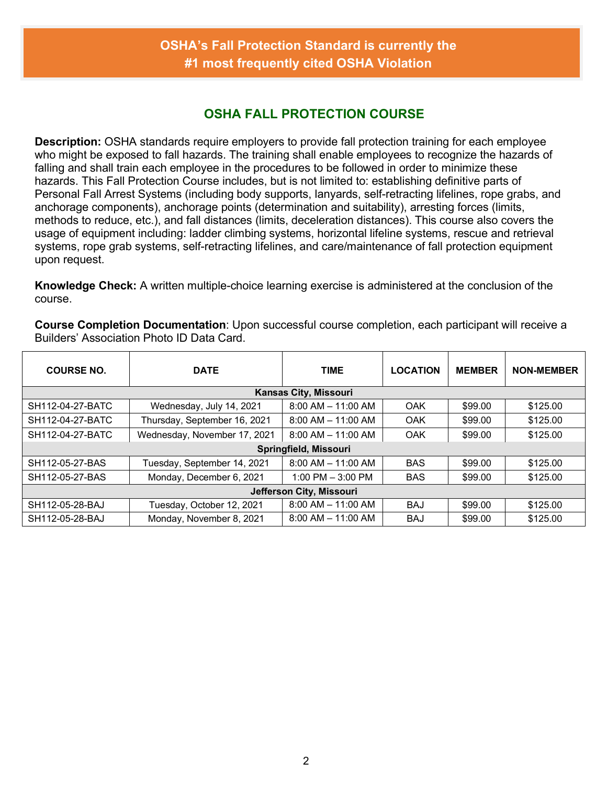#### **OSHA FALL PROTECTION COURSE**

**Description:** OSHA standards require employers to provide fall protection training for each employee who might be exposed to fall hazards. The training shall enable employees to recognize the hazards of falling and shall train each employee in the procedures to be followed in order to minimize these hazards. This Fall Protection Course includes, but is not limited to: establishing definitive parts of Personal Fall Arrest Systems (including body supports, lanyards, self-retracting lifelines, rope grabs, and anchorage components), anchorage points (determination and suitability), arresting forces (limits, methods to reduce, etc.), and fall distances (limits, deceleration distances). This course also covers the usage of equipment including: ladder climbing systems, horizontal lifeline systems, rescue and retrieval systems, rope grab systems, self-retracting lifelines, and care/maintenance of fall protection equipment upon request.

**Knowledge Check:** A written multiple-choice learning exercise is administered at the conclusion of the course.

| <b>COURSE NO.</b> | <b>DATE</b>                  | <b>TIME</b>                  | <b>LOCATION</b> | <b>MEMBER</b> | <b>NON-MEMBER</b> |
|-------------------|------------------------------|------------------------------|-----------------|---------------|-------------------|
|                   |                              | <b>Kansas City, Missouri</b> |                 |               |                   |
| SH112-04-27-BATC  | Wednesday, July 14, 2021     | $8:00$ AM $-$ 11:00 AM       | <b>OAK</b>      | \$99.00       | \$125.00          |
| SH112-04-27-BATC  | Thursday, September 16, 2021 | $8:00$ AM $-$ 11:00 AM       | <b>OAK</b>      | \$99.00       | \$125.00          |
| SH112-04-27-BATC  | Wednesday, November 17, 2021 | $8:00$ AM $-$ 11:00 AM       | <b>OAK</b>      | \$99.00       | \$125.00          |
|                   |                              | Springfield, Missouri        |                 |               |                   |
| SH112-05-27-BAS   | Tuesday, September 14, 2021  | $8:00$ AM $-$ 11:00 AM       | <b>BAS</b>      | \$99.00       | \$125.00          |
| SH112-05-27-BAS   | Monday, December 6, 2021     | $1:00$ PM $-3:00$ PM         | <b>BAS</b>      | \$99.00       | \$125.00          |
|                   |                              | Jefferson City, Missouri     |                 |               |                   |
| SH112-05-28-BAJ   | Tuesday, October 12, 2021    | $8:00$ AM $-$ 11:00 AM       | <b>BAJ</b>      | \$99.00       | \$125.00          |
| SH112-05-28-BAJ   | Monday, November 8, 2021     | $8:00$ AM $-$ 11:00 AM       | <b>BAJ</b>      | \$99.00       | \$125.00          |

**Course Completion Documentation**: Upon successful course completion, each participant will receive a Builders' Association Photo ID Data Card.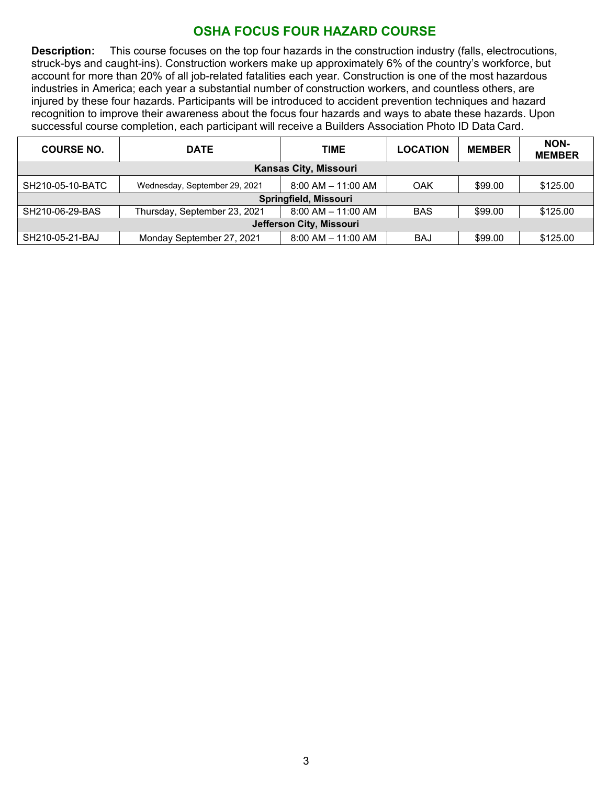#### **OSHA FOCUS FOUR HAZARD COURSE**

**Description:** This course focuses on the top four hazards in the construction industry (falls, electrocutions, struck-bys and caught-ins). Construction workers make up approximately 6% of the country's workforce, but account for more than 20% of all job-related fatalities each year. Construction is one of the most hazardous industries in America; each year a substantial number of construction workers, and countless others, are injured by these four hazards. Participants will be introduced to accident prevention techniques and hazard recognition to improve their awareness about the focus four hazards and ways to abate these hazards. Upon successful course completion, each participant will receive a Builders Association Photo ID Data Card.

| <b>COURSE NO.</b>        | <b>DATE</b>                   | <b>TIME</b>            | <b>LOCATION</b> | <b>MEMBER</b> | NON-<br><b>MEMBER</b> |  |  |  |  |
|--------------------------|-------------------------------|------------------------|-----------------|---------------|-----------------------|--|--|--|--|
|                          | <b>Kansas City, Missouri</b>  |                        |                 |               |                       |  |  |  |  |
| SH210-05-10-BATC         | Wednesday, September 29, 2021 | $8:00$ AM $-$ 11:00 AM | OAK             | \$99.00       | \$125.00              |  |  |  |  |
|                          |                               | Springfield, Missouri  |                 |               |                       |  |  |  |  |
| SH210-06-29-BAS          | Thursday, September 23, 2021  | $8:00$ AM $-$ 11:00 AM | <b>BAS</b>      | \$99.00       | \$125.00              |  |  |  |  |
| Jefferson City, Missouri |                               |                        |                 |               |                       |  |  |  |  |
| SH210-05-21-BAJ          | Monday September 27, 2021     | $8:00$ AM $-$ 11:00 AM | <b>BAJ</b>      | \$99.00       | \$125.00              |  |  |  |  |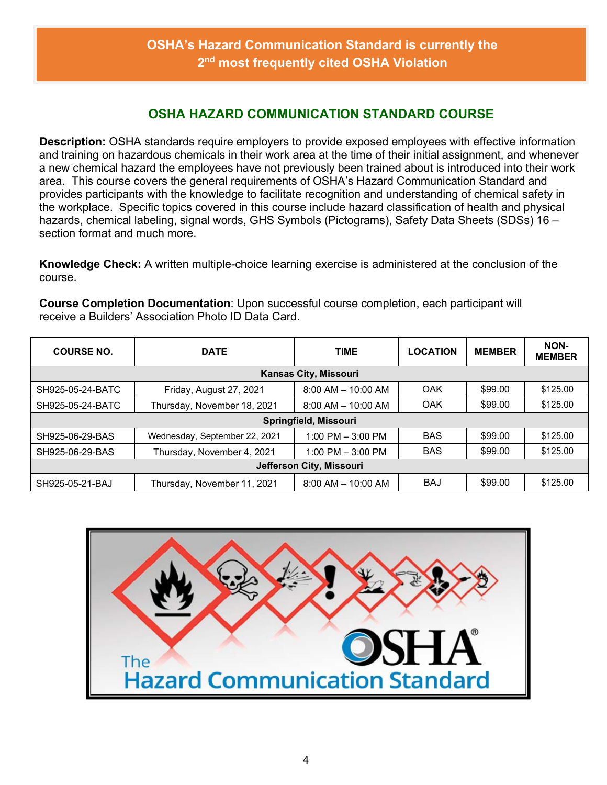#### **OSHA HAZARD COMMUNICATION STANDARD COURSE**

**Description:** OSHA standards require employers to provide exposed employees with effective information and training on hazardous chemicals in their work area at the time of their initial assignment, and whenever a new chemical hazard the employees have not previously been trained about is introduced into their work area. This course covers the general requirements of OSHA's Hazard Communication Standard and provides participants with the knowledge to facilitate recognition and understanding of chemical safety in the workplace. Specific topics covered in this course include hazard classification of health and physical hazards, chemical labeling, signal words, GHS Symbols (Pictograms), Safety Data Sheets (SDSs) 16 section format and much more.

**Knowledge Check:** A written multiple-choice learning exercise is administered at the conclusion of the course.

**Course Completion Documentation**: Upon successful course completion, each participant will receive a Builders' Association Photo ID Data Card.

| <b>COURSE NO.</b>        | <b>DATE</b>                   | <b>TIME</b>                  | <b>LOCATION</b> | <b>MEMBER</b> | NON-<br><b>MEMBER</b> |  |  |
|--------------------------|-------------------------------|------------------------------|-----------------|---------------|-----------------------|--|--|
|                          |                               | <b>Kansas City, Missouri</b> |                 |               |                       |  |  |
| SH925-05-24-BATC         | Friday, August 27, 2021       | $8:00$ AM $-$ 10:00 AM       | OAK             | \$99.00       | \$125.00              |  |  |
| SH925-05-24-BATC         | Thursday, November 18, 2021   | $8:00$ AM $-$ 10:00 AM       | OAK             | \$99.00       | \$125.00              |  |  |
|                          | Springfield, Missouri         |                              |                 |               |                       |  |  |
| SH925-06-29-BAS          | Wednesday, September 22, 2021 | 1:00 PM $-$ 3:00 PM          | <b>BAS</b>      | \$99.00       | \$125.00              |  |  |
| SH925-06-29-BAS          | Thursday, November 4, 2021    | 1:00 PM $-$ 3:00 PM          | <b>BAS</b>      | \$99.00       | \$125.00              |  |  |
| Jefferson City, Missouri |                               |                              |                 |               |                       |  |  |
| SH925-05-21-BAJ          | Thursday, November 11, 2021   | $8:00$ AM $-$ 10:00 AM       | <b>BAJ</b>      | \$99.00       | \$125.00              |  |  |

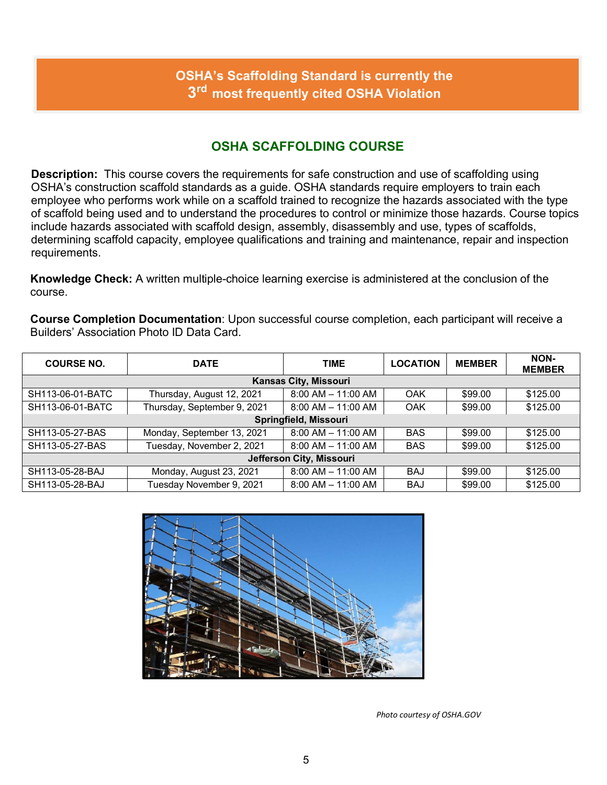## **OSHA's Scaffolding Standard is currently the 3rd most frequently cited OSHA Violation**

#### **OSHA SCAFFOLDING COURSE**

**Description:** This course covers the requirements for safe construction and use of scaffolding using OSHA's construction scaffold standards as a guide. OSHA standards require employers to train each employee who performs work while on a scaffold trained to recognize the hazards associated with the type of scaffold being used and to understand the procedures to control or minimize those hazards. Course topics include hazards associated with scaffold design, assembly, disassembly and use, types of scaffolds, determining scaffold capacity, employee qualifications and training and maintenance, repair and inspection requirements.

**Knowledge Check:** A written multiple-choice learning exercise is administered at the conclusion of the course.

**Course Completion Documentation**: Upon successful course completion, each participant will receive a Builders' Association Photo ID Data Card.

| <b>COURSE NO.</b>        | <b>DATE</b>                 | <b>TIME</b>                  | <b>LOCATION</b> | <b>MEMBER</b> | NON-<br><b>MEMBER</b> |  |  |
|--------------------------|-----------------------------|------------------------------|-----------------|---------------|-----------------------|--|--|
|                          |                             | <b>Kansas City, Missouri</b> |                 |               |                       |  |  |
| SH113-06-01-BATC         | Thursday, August 12, 2021   | $8:00$ AM $-$ 11:00 AM       | OAK             | \$99.00       | \$125.00              |  |  |
| SH113-06-01-BATC         | Thursday, September 9, 2021 | $8:00$ AM $-$ 11:00 AM       | OAK             | \$99.00       | \$125.00              |  |  |
| Springfield, Missouri    |                             |                              |                 |               |                       |  |  |
| SH113-05-27-BAS          | Monday, September 13, 2021  | $8:00$ AM $-$ 11:00 AM       | <b>BAS</b>      | \$99.00       | \$125.00              |  |  |
| SH113-05-27-BAS          | Tuesday, November 2, 2021   | $8:00$ AM $-$ 11:00 AM       | <b>BAS</b>      | \$99.00       | \$125.00              |  |  |
| Jefferson City, Missouri |                             |                              |                 |               |                       |  |  |
| SH113-05-28-BAJ          | Monday, August 23, 2021     | $8:00$ AM $-$ 11:00 AM       | <b>BAJ</b>      | \$99.00       | \$125.00              |  |  |
| SH113-05-28-BAJ          | Tuesday November 9, 2021    | $8:00$ AM $-$ 11:00 AM       | <b>BAJ</b>      | \$99.00       | \$125.00              |  |  |



*Photo courtesy of OSHA.GOV*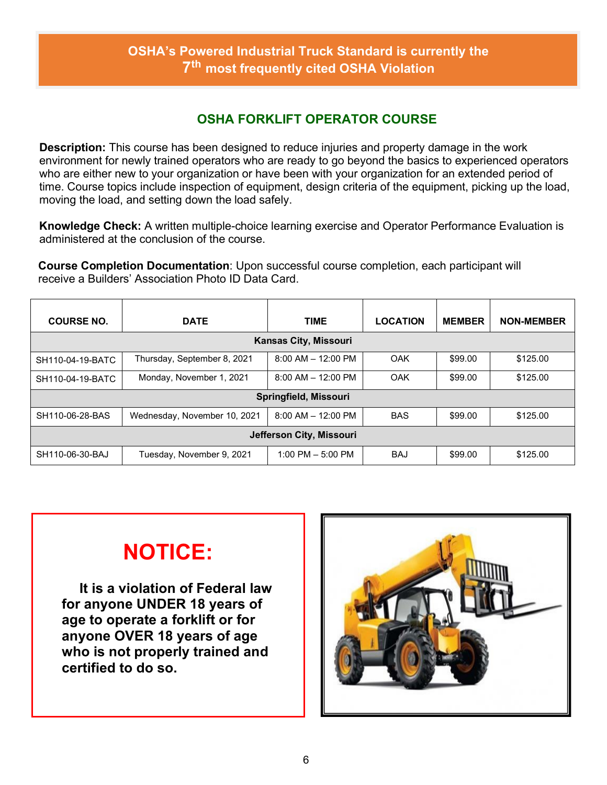#### **OSHA's Powered Industrial Truck Standard is currently the 7th most frequently cited OSHA Violation**

#### **OSHA FORKLIFT OPERATOR COURSE**

**Description:** This course has been designed to reduce injuries and property damage in the work environment for newly trained operators who are ready to go beyond the basics to experienced operators who are either new to your organization or have been with your organization for an extended period of time. Course topics include inspection of equipment, design criteria of the equipment, picking up the load, moving the load, and setting down the load safely.

**Knowledge Check:** A written multiple-choice learning exercise and Operator Performance Evaluation is administered at the conclusion of the course.

**Course Completion Documentation**: Upon successful course completion, each participant will receive a Builders' Association Photo ID Data Card.

| <b>COURSE NO.</b>        | <b>DATE</b>                  | <b>TIME</b>                  | <b>LOCATION</b> | <b>MEMBER</b> | <b>NON-MEMBER</b> |  |  |
|--------------------------|------------------------------|------------------------------|-----------------|---------------|-------------------|--|--|
|                          |                              | <b>Kansas City, Missouri</b> |                 |               |                   |  |  |
| SH110-04-19-BATC         | Thursday, September 8, 2021  | $8:00$ AM $-$ 12:00 PM       | OAK             | \$99.00       | \$125.00          |  |  |
| SH110-04-19-BATC         | Monday, November 1, 2021     | $8:00$ AM $-$ 12:00 PM       | OAK             | \$99.00       | \$125.00          |  |  |
| Springfield, Missouri    |                              |                              |                 |               |                   |  |  |
| SH110-06-28-BAS          | Wednesday, November 10, 2021 | $8:00$ AM $-$ 12:00 PM       | <b>BAS</b>      | \$99.00       | \$125.00          |  |  |
| Jefferson City, Missouri |                              |                              |                 |               |                   |  |  |
| SH110-06-30-BAJ          | Tuesday, November 9, 2021    | 1:00 PM $-$ 5:00 PM          | <b>BAJ</b>      | \$99.00       | \$125.00          |  |  |

# **NOTICE:**

**It is a violation of Federal law for anyone UNDER 18 years of age to operate a forklift or for anyone OVER 18 years of age who is not properly trained and certified to do so.**

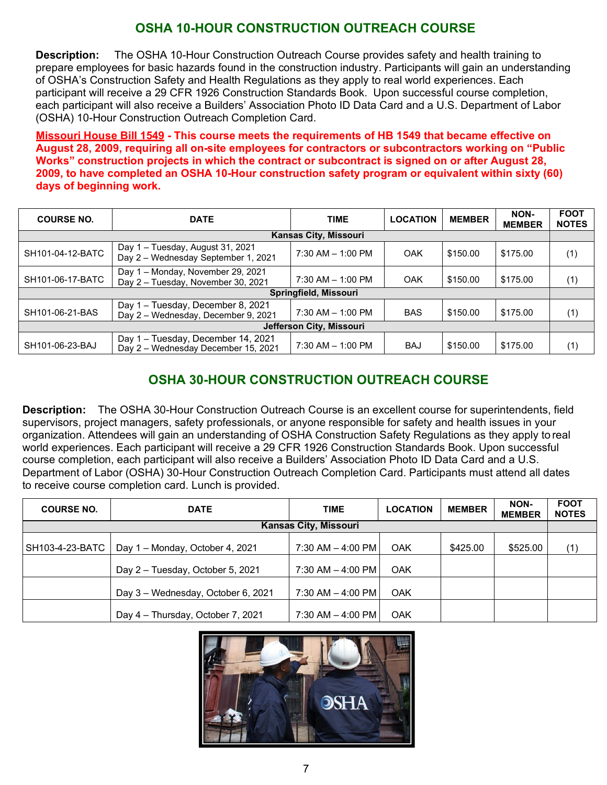## **OSHA 10-HOUR CONSTRUCTION OUTREACH COURSE**

**Description:** The OSHA 10-Hour Construction Outreach Course provides safety and health training to prepare employees for basic hazards found in the construction industry. Participants will gain an understanding of OSHA's Construction Safety and Health Regulations as they apply to real world experiences. Each participant will receive a 29 CFR 1926 Construction Standards Book. Upon successful course completion, each participant will also receive a Builders' Association Photo ID Data Card and a U.S. Department of Labor (OSHA) 10-Hour Construction Outreach Completion Card.

**Missouri House Bill 1549 - This course meets the requirements of HB 1549 that became effective on August 28, 2009, requiring all on-site employees for contractors or subcontractors working on "Public Works" construction projects in which the contract or subcontract is signed on or after August 28, 2009, to have completed an OSHA 10-Hour construction safety program or equivalent within sixty (60) days of beginning work.**

| <b>COURSE NO.</b> | <b>DATE</b>                                                               | <b>TIME</b>                  | <b>LOCATION</b> | <b>MEMBER</b> | NON-<br><b>MEMBER</b> | <b>FOOT</b><br><b>NOTES</b> |
|-------------------|---------------------------------------------------------------------------|------------------------------|-----------------|---------------|-----------------------|-----------------------------|
|                   |                                                                           | <b>Kansas City, Missouri</b> |                 |               |                       |                             |
| SH101-04-12-BATC  | Day 1 - Tuesday, August 31, 2021<br>Day 2 - Wednesday September 1, 2021   | $7:30$ AM $-$ 1:00 PM        | <b>OAK</b>      | \$150.00      | \$175.00              | (1)                         |
| SH101-06-17-BATC  | Day 1 - Monday, November 29, 2021<br>Day 2 - Tuesday, November 30, 2021   | $7:30$ AM $-$ 1:00 PM        | <b>OAK</b>      | \$150.00      | \$175.00              | (1)                         |
|                   |                                                                           | Springfield, Missouri        |                 |               |                       |                             |
| SH101-06-21-BAS   | Day 1 - Tuesday, December 8, 2021<br>Day 2 - Wednesday, December 9, 2021  | $7:30$ AM $-$ 1:00 PM        | <b>BAS</b>      | \$150.00      | \$175.00              | (1)                         |
|                   |                                                                           | Jefferson City, Missouri     |                 |               |                       |                             |
| SH101-06-23-BAJ   | Day 1 - Tuesday, December 14, 2021<br>Day 2 - Wednesday December 15, 2021 | 7:30 AM - 1:00 PM            | <b>BAJ</b>      | \$150.00      | \$175.00              | (1)                         |

## **OSHA 30-HOUR CONSTRUCTION OUTREACH COURSE**

**Description:** The OSHA 30-Hour Construction Outreach Course is an excellent course for superintendents, field supervisors, project managers, safety professionals, or anyone responsible for safety and health issues in your organization. Attendees will gain an understanding of OSHA Construction Safety Regulations as they apply to real world experiences. Each participant will receive a 29 CFR 1926 Construction Standards Book. Upon successful course completion, each participant will also receive a Builders' Association Photo ID Data Card and a U.S. Department of Labor (OSHA) 30-Hour Construction Outreach Completion Card. Participants must attend all dates to receive course completion card. Lunch is provided.

| <b>COURSE NO.</b> | <b>DATE</b>                        | <b>TIME</b>                  | <b>LOCATION</b> | <b>MEMBER</b> | NON-<br><b>MEMBER</b> | <b>FOOT</b><br><b>NOTES</b> |
|-------------------|------------------------------------|------------------------------|-----------------|---------------|-----------------------|-----------------------------|
|                   |                                    | <b>Kansas City, Missouri</b> |                 |               |                       |                             |
| SH103-4-23-BATC   | Day 1 - Monday, October 4, 2021    | 7:30 AM - 4:00 PM            | <b>OAK</b>      | \$425.00      | \$525.00              | (1)                         |
|                   | Day 2 - Tuesday, October 5, 2021   | 7:30 AM - 4:00 PM            | <b>OAK</b>      |               |                       |                             |
|                   | Day 3 - Wednesday, October 6, 2021 | 7:30 AM - 4:00 PM            | <b>OAK</b>      |               |                       |                             |
|                   | Day 4 - Thursday, October 7, 2021  | 7:30 AM - 4:00 PM            | <b>OAK</b>      |               |                       |                             |

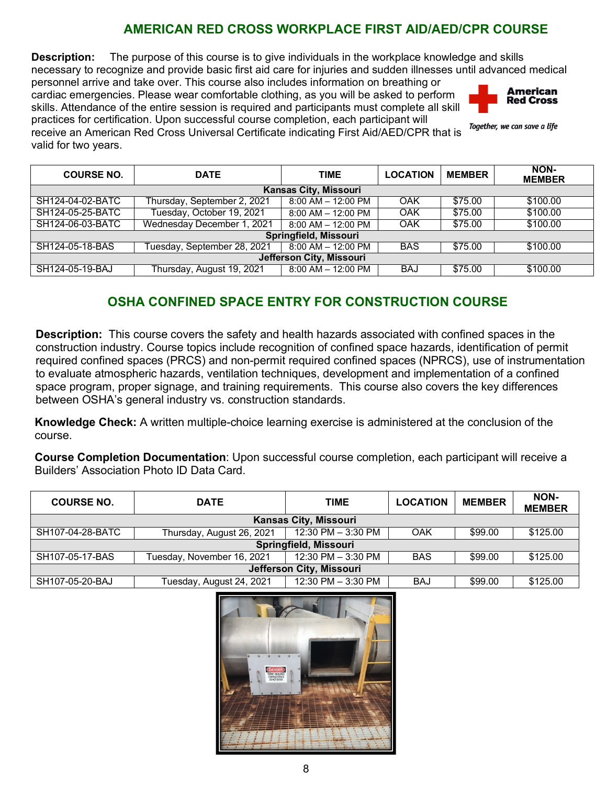## **AMERICAN RED CROSS WORKPLACE FIRST AID/AED/CPR COURSE**

**Description:** The purpose of this course is to give individuals in the workplace knowledge and skills necessary to recognize and provide basic first aid care for injuries and sudden illnesses until advanced medical

personnel arrive and take over. This course also includes information on breathing or cardiac emergencies. Please wear comfortable clothing, as you will be asked to perform skills. Attendance of the entire session is required and participants must complete all skill practices for certification. Upon successful course completion, each participant will



Together, we can save a life

receive an American Red Cross Universal Certificate indicating First Aid/AED/CPR that is valid for two years.

| <b>COURSE NO.</b>        | <b>DATE</b>                 | <b>TIME</b>                  | <b>LOCATION</b> | <b>MEMBER</b> | NON-<br><b>MEMBER</b> |  |
|--------------------------|-----------------------------|------------------------------|-----------------|---------------|-----------------------|--|
|                          |                             | <b>Kansas City, Missouri</b> |                 |               |                       |  |
| SH124-04-02-BATC         | Thursday, September 2, 2021 | $8:00$ AM $- 12:00$ PM       | OAK             | \$75.00       | \$100.00              |  |
| SH124-05-25-BATC         | Tuesday, October 19, 2021   | $8:00$ AM $-$ 12:00 PM       | OAK             | \$75.00       | \$100.00              |  |
| SH124-06-03-BATC         | Wednesday December 1, 2021  | 8:00 AM - 12:00 PM           | OAK             | \$75.00       | \$100.00              |  |
|                          |                             | Springfield, Missouri        |                 |               |                       |  |
| SH124-05-18-BAS          | Tuesday, September 28, 2021 | $8:00$ AM $-$ 12:00 PM       | <b>BAS</b>      | \$75.00       | \$100.00              |  |
| Jefferson City, Missouri |                             |                              |                 |               |                       |  |
| SH124-05-19-BAJ          | Thursday, August 19, 2021   | $8:00$ AM $-$ 12:00 PM       | <b>BAJ</b>      | \$75.00       | \$100.00              |  |

## **OSHA CONFINED SPACE ENTRY FOR CONSTRUCTION COURSE**

**Description:** This course covers the safety and health hazards associated with confined spaces in the construction industry. Course topics include recognition of confined space hazards, identification of permit required confined spaces (PRCS) and non-permit required confined spaces (NPRCS), use of instrumentation to evaluate atmospheric hazards, ventilation techniques, development and implementation of a confined space program, proper signage, and training requirements. This course also covers the key differences between OSHA's general industry vs. construction standards.

**Knowledge Check:** A written multiple-choice learning exercise is administered at the conclusion of the course.

**Course Completion Documentation**: Upon successful course completion, each participant will receive a Builders' Association Photo ID Data Card.

| <b>COURSE NO.</b>            | <b>DATE</b>                | <b>TIME</b>          | <b>LOCATION</b> | <b>MEMBER</b> | NON-<br><b>MEMBER</b> |  |  |
|------------------------------|----------------------------|----------------------|-----------------|---------------|-----------------------|--|--|
| <b>Kansas City, Missouri</b> |                            |                      |                 |               |                       |  |  |
| SH107-04-28-BATC             | Thursday, August 26, 2021  | 12:30 PM - 3:30 PM   | OAK             | \$99.00       | \$125.00              |  |  |
| Springfield, Missouri        |                            |                      |                 |               |                       |  |  |
| SH107-05-17-BAS              | Tuesday, November 16, 2021 | 12:30 PM - 3:30 PM   | <b>BAS</b>      | \$99.00       | \$125.00              |  |  |
| Jefferson City, Missouri     |                            |                      |                 |               |                       |  |  |
| SH107-05-20-BAJ              | Tuesday, August 24, 2021   | 12:30 PM $-$ 3:30 PM | <b>BAJ</b>      | \$99.00       | \$125.00              |  |  |

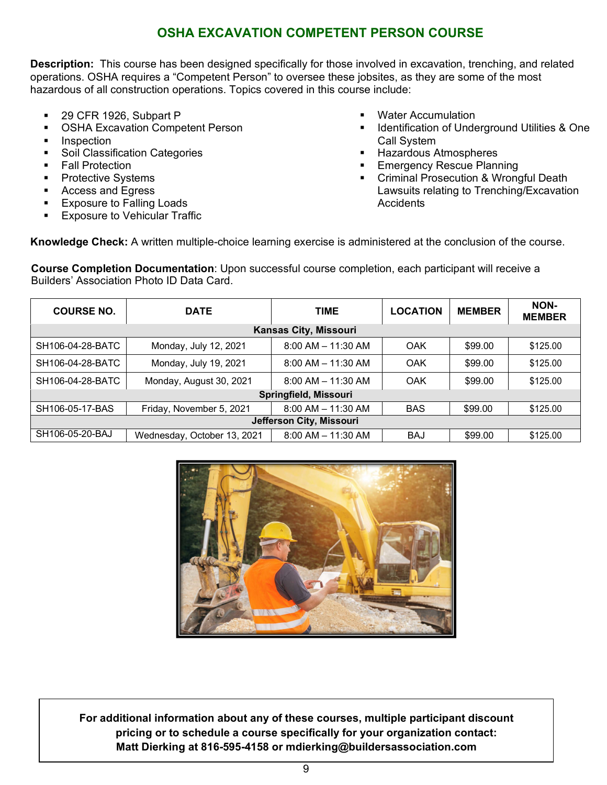#### **OSHA EXCAVATION COMPETENT PERSON COURSE**

**Description:** This course has been designed specifically for those involved in excavation, trenching, and related operations. OSHA requires a "Competent Person" to oversee these jobsites, as they are some of the most hazardous of all construction operations. Topics covered in this course include:

- 29 CFR 1926, Subpart P<br>■ OSHA Excavation Compe
- OSHA Excavation Competent Person
- **Inspection**
- **Soil Classification Categories**
- **Fall Protection**
- Protective Systems
- **Access and Egress**
- **Exposure to Falling Loads**
- **Exposure to Vehicular Traffic**
- Water Accumulation
- **IDENTIFICATE IS Underground Utilities & One** Call System
- **Hazardous Atmospheres**
- **Emergency Rescue Planning**
- **Criminal Prosecution & Wrongful Death** Lawsuits relating to Trenching/Excavation **Accidents**

**Knowledge Check:** A written multiple-choice learning exercise is administered at the conclusion of the course.

**Course Completion Documentation**: Upon successful course completion, each participant will receive a Builders' Association Photo ID Data Card.

| <b>COURSE NO.</b>        | <b>DATE</b>                 | <b>TIME</b>                  | <b>LOCATION</b> | <b>MEMBER</b> | NON-<br><b>MEMBER</b> |
|--------------------------|-----------------------------|------------------------------|-----------------|---------------|-----------------------|
|                          |                             | <b>Kansas City, Missouri</b> |                 |               |                       |
| SH106-04-28-BATC         | Monday, July 12, 2021       | $8:00$ AM $-$ 11:30 AM       | OAK             | \$99.00       | \$125.00              |
| SH106-04-28-BATC         | Monday, July 19, 2021       | $8:00$ AM $-$ 11:30 AM       | OAK             | \$99.00       | \$125.00              |
| SH106-04-28-BATC         | Monday, August 30, 2021     | $8:00$ AM $-$ 11:30 AM       | OAK             | \$99.00       | \$125.00              |
|                          |                             | Springfield, Missouri        |                 |               |                       |
| SH106-05-17-BAS          | Friday, November 5, 2021    | $8:00$ AM $-$ 11:30 AM       | <b>BAS</b>      | \$99.00       | \$125.00              |
| Jefferson City, Missouri |                             |                              |                 |               |                       |
| SH106-05-20-BAJ          | Wednesday, October 13, 2021 | $8:00$ AM $-$ 11:30 AM       | <b>BAJ</b>      | \$99.00       | \$125.00              |



**For additional information about any of these courses, multiple participant discount pricing or to schedule a course specifically for your organization contact: Matt Dierking at 816-595-4158 or mdierking@buildersassociation.com**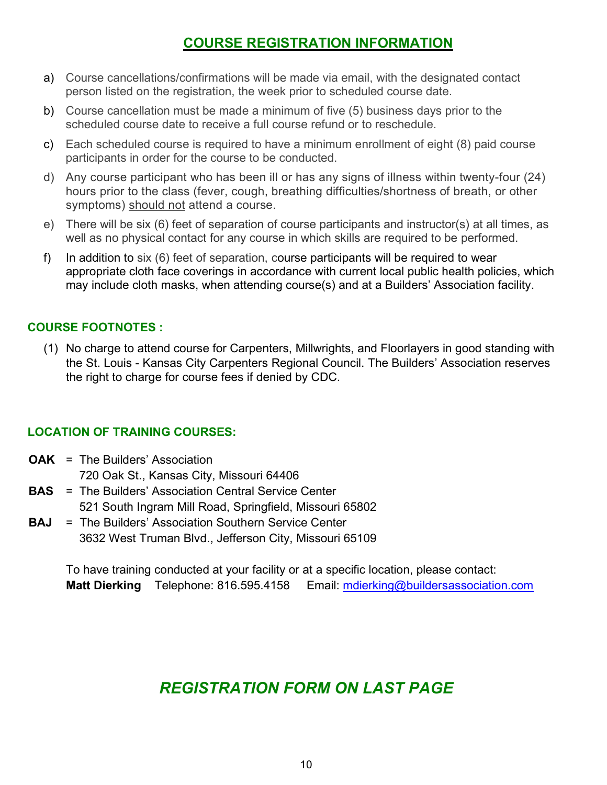## **COURSE REGISTRATION INFORMATION**

- a) Course cancellations/confirmations will be made via email, with the designated contact person listed on the registration, the week prior to scheduled course date.
- b) Course cancellation must be made a minimum of five (5) business days prior to the scheduled course date to receive a full course refund or to reschedule.
- c) Each scheduled course is required to have a minimum enrollment of eight (8) paid course participants in order for the course to be conducted.
- d) Any course participant who has been ill or has any signs of illness within twenty-four (24) hours prior to the class (fever, cough, breathing difficulties/shortness of breath, or other symptoms) should not attend a course.
- e) There will be six (6) feet of separation of course participants and instructor(s) at all times, as well as no physical contact for any course in which skills are required to be performed.
- f) In addition to six (6) feet of separation, course participants will be required to wear appropriate cloth face coverings in accordance with current local public health policies, which may include cloth masks, when attending course(s) and at a Builders' Association facility.

#### **COURSE FOOTNOTES :**

(1) No charge to attend course for Carpenters, Millwrights, and Floorlayers in good standing with the St. Louis - Kansas City Carpenters Regional Council. The Builders' Association reserves the right to charge for course fees if denied by CDC.

#### **LOCATION OF TRAINING COURSES:**

- **OAK** = The Builders' Association 720 Oak St., Kansas City, Missouri 64406
- **BAS** = The Builders' Association Central Service Center 521 South Ingram Mill Road, Springfield, Missouri 65802
- **BAJ** = The Builders' Association Southern Service Center 3632 West Truman Blvd., Jefferson City, Missouri 65109

To have training conducted at your facility or at a specific location, please contact: **Matt Dierking** Telephone: 816.595.4158 Email: [mdierking@buildersassociation.com](mailto:mdierking@buildersassociation.com)

# *REGISTRATION FORM ON LAST PAGE*